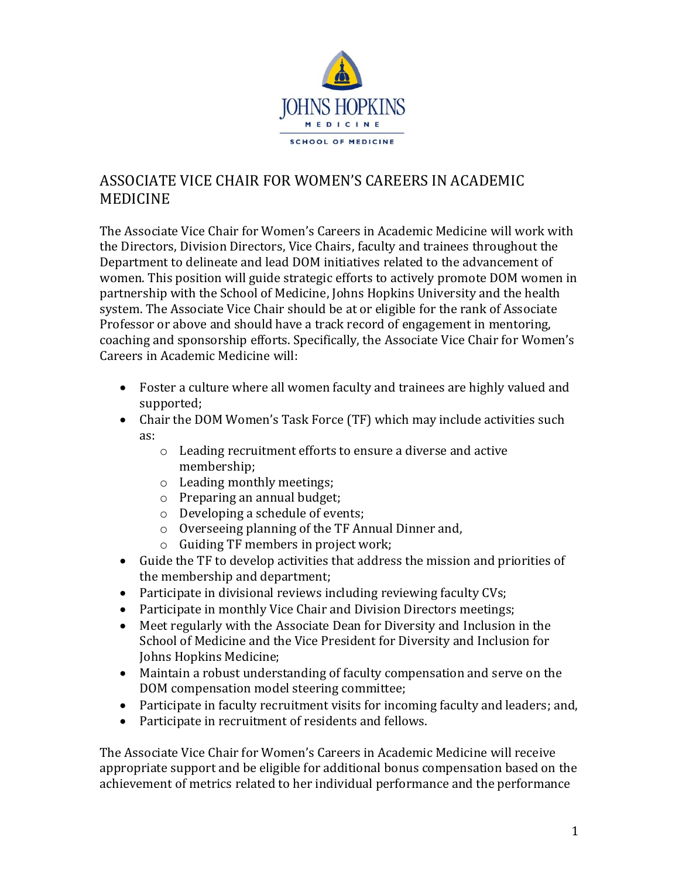

## ASSOCIATE VICE CHAIR FOR WOMEN'S CAREERS IN ACADEMIC MEDICINE

The Associate Vice Chair for Women's Careers in Academic Medicine will work with the Directors, Division Directors, Vice Chairs, faculty and trainees throughout the Department to delineate and lead DOM initiatives related to the advancement of women. This position will guide strategic efforts to actively promote DOM women in partnership with the School of Medicine, Johns Hopkins University and the health system. The Associate Vice Chair should be at or eligible for the rank of Associate Professor or above and should have a track record of engagement in mentoring, coaching and sponsorship efforts. Specifically, the Associate Vice Chair for Women's Careers in Academic Medicine will:

- Foster a culture where all women faculty and trainees are highly valued and supported;
- Chair the DOM Women's Task Force (TF) which may include activities such as:
	- o Leading recruitment efforts to ensure a diverse and active membership;
	- o Leading monthly meetings;
	- o Preparing an annual budget;
	- o Developing a schedule of events;
	- o Overseeing planning of the TF Annual Dinner and,
	- o Guiding TF members in project work;
- Guide the TF to develop activities that address the mission and priorities of the membership and department;
- Participate in divisional reviews including reviewing faculty CVs;
- Participate in monthly Vice Chair and Division Directors meetings;
- Meet regularly with the Associate Dean for Diversity and Inclusion in the School of Medicine and the Vice President for Diversity and Inclusion for Johns Hopkins Medicine;
- Maintain a robust understanding of faculty compensation and serve on the DOM compensation model steering committee;
- Participate in faculty recruitment visits for incoming faculty and leaders; and,
- Participate in recruitment of residents and fellows.

The Associate Vice Chair for Women's Careers in Academic Medicine will receive appropriate support and be eligible for additional bonus compensation based on the achievement of metrics related to her individual performance and the performance